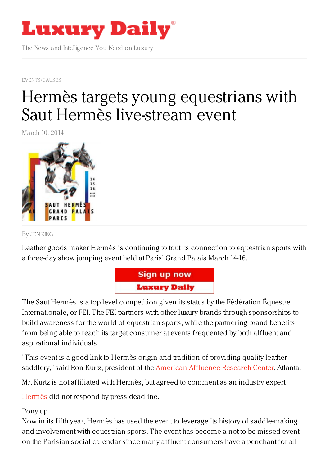

The News and Intelligence You Need on Luxury

[EVENTS/CAUSES](https://www.luxurydaily.com/category/news/events/)

## Hermès targets young [equestrians](https://www.luxurydaily.com/hermes-targets-young-equestrians-with-saut-hermes-live-stream-event/) with Saut Hermès live-stream event

March 10, 2014



By JEN [KING](/author/jen-king)

Leather goods maker Hermès is continuing to tout its connection to equestrian sports with a three-day show jumping event held at Paris' Grand Palais March 14-16.



The Saut Hermès is a top level competition given its status by the Fédération Équestre Internationale, or FEI. The FEI partners with other luxury brands through sponsorships to build awareness for the world of equestrian sports, while the partnering brand benefits from being able to reach its target consumer at events frequented by both affluent and aspirational individuals.

"This event is a good link to Hermès origin and tradition of providing quality leather saddlery," said Ron Kurtz, president of the American [Affluence](http://affluenceresearch.org/) Research Center, Atlanta.

Mr. Kurtz is not affiliated with Hermès, but agreed to comment as an industry expert.

[Hermès](http://www.hermes.com) did not respond by press deadline.

## Pony up

Now in its fifth year, Hermès has used the event to leverage its history of saddle-making and involvement with equestrian sports. The event has become a not-to-be-missed event on the Parisian social calendar since many affluent consumers have a penchant for all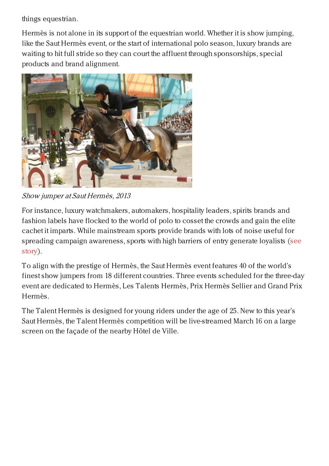things equestrian.

Hermès is not alone in its support of the equestrian world. Whether it is show jumping, like the Saut Hermès event, or the start of international polo season, luxury brands are waiting to hit full stride so they can court the affluent through sponsorships, special products and brand alignment.



Show jumper at Saut Hermès, 2013

For instance, luxury watchmakers, automakers, hospitality leaders, spirits brands and fashion labels have flocked to the world of polo to cosset the crowds and gain the elite cachet it imparts. While mainstream sports provide brands with lots of noise useful for spreading campaign [awareness,](https://www.luxurydaily.com/as-polo-season-unfolds-luxury-brands-secure-sponsorships/) sports with high barriers of entry generate loyalists (see story).

To align with the prestige of Hermès, the Saut Hermès event features 40 of the world's finest show jumpers from 18 different countries. Three events scheduled for the three-day event are dedicated to Hermès, Les Talents Hermès, Prix Hermès Sellier and Grand Prix Hermès.

The Talent Hermès is designed for young riders under the age of 25. New to this year's Saut Hermès, the Talent Hermès competition will be live-streamed March 16 on a large screen on the façade of the nearby Hôtel de Ville.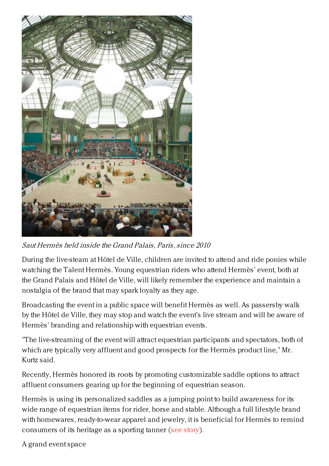

Saut Hermès held inside the Grand Palais, Paris, since 2010

During the live-steam at Hôtel de Ville, children are invited to attend and ride ponies while watching the Talent Hermès. Young equestrian riders who attend Hermès' event, both at the Grand Palais and Hôtel de Ville, will likely remember the experience and maintain a nostalgia of the brand that may spark loyalty as they age.

Broadcasting the event in a public space will benefit Hermès as well. As passersby walk by the Hôtel de Ville, they may stop and watch the event's live stream and will be aware of Hermès' branding and relationship with equestrian events.

"The live-streaming of the event will attract equestrian participants and spectators, both of which are typically very affluent and good prospects for the Hermès product line," Mr. Kurtz said.

Recently, Hermès honored its roots by promoting customizable saddle options to attract affluent consumers gearing up for the beginning of equestrian season.

Hermès is using its personalized saddles as a jumping point to build awareness for its wide range of equestrian items for rider, horse and stable. Although a full lifestyle brand with homewares, ready-to-wear apparel and jewelry, it is beneficial for Hermès to remind consumers of its heritage as a sporting tanner (see [story](https://www.luxurydaily.com/hermes-trots-out-heritage-with-personalized-saddles/)).

A grand event space